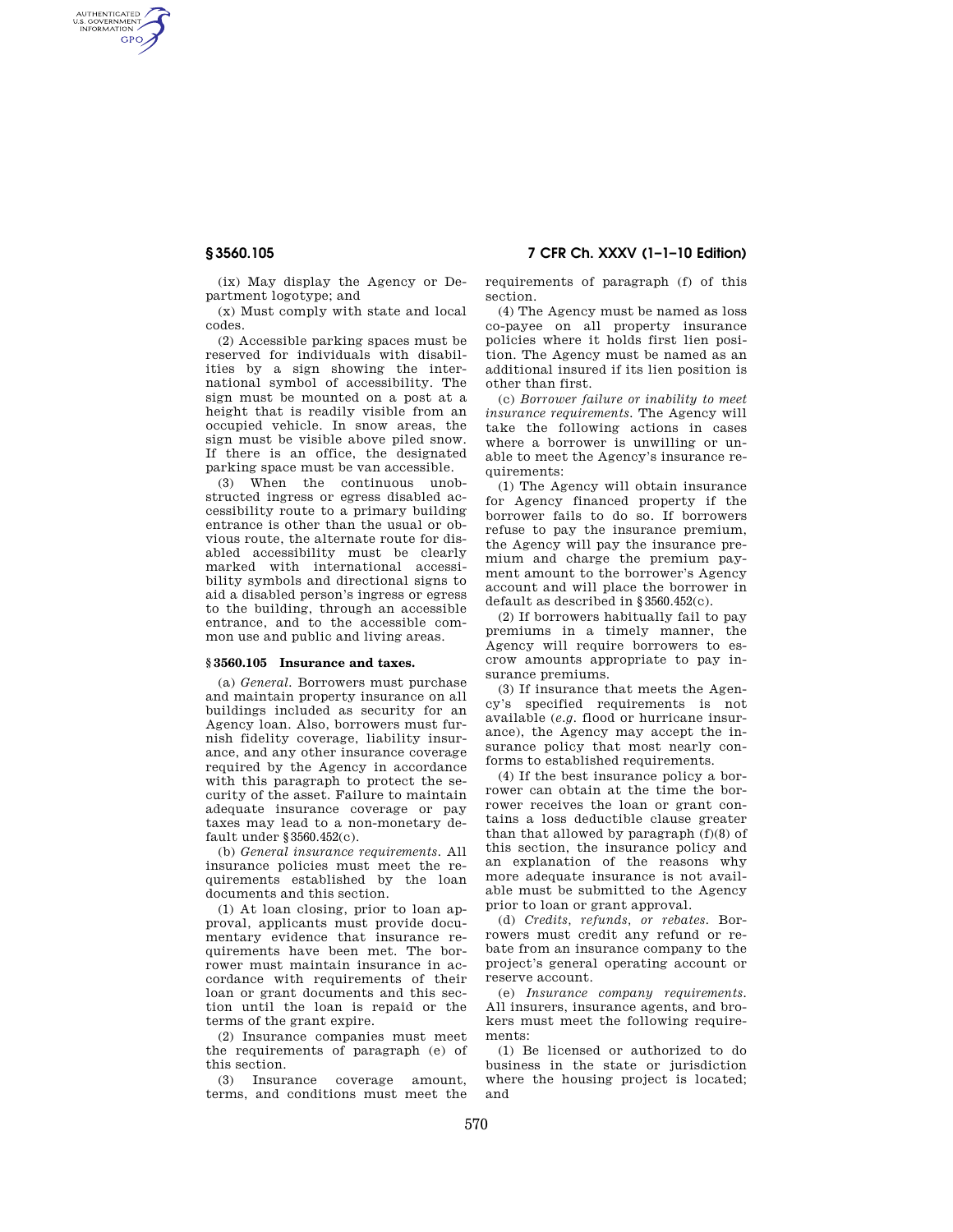AUTHENTICATED<br>U.S. GOVERNMENT<br>INFORMATION **GPO** 

> (ix) May display the Agency or Department logotype; and

(x) Must comply with state and local codes.

(2) Accessible parking spaces must be reserved for individuals with disabilities by a sign showing the international symbol of accessibility. The sign must be mounted on a post at a height that is readily visible from an occupied vehicle. In snow areas, the sign must be visible above piled snow. If there is an office, the designated parking space must be van accessible.

(3) When the continuous unobstructed ingress or egress disabled accessibility route to a primary building entrance is other than the usual or obvious route, the alternate route for disabled accessibility must be clearly marked with international accessibility symbols and directional signs to aid a disabled person's ingress or egress to the building, through an accessible entrance, and to the accessible common use and public and living areas.

#### **§ 3560.105 Insurance and taxes.**

(a) *General.* Borrowers must purchase and maintain property insurance on all buildings included as security for an Agency loan. Also, borrowers must furnish fidelity coverage, liability insurance, and any other insurance coverage required by the Agency in accordance with this paragraph to protect the security of the asset. Failure to maintain adequate insurance coverage or pay taxes may lead to a non-monetary default under §3560.452(c).

(b) *General insurance requirements.* All insurance policies must meet the requirements established by the loan documents and this section.

(1) At loan closing, prior to loan approval, applicants must provide documentary evidence that insurance requirements have been met. The borrower must maintain insurance in accordance with requirements of their loan or grant documents and this section until the loan is repaid or the terms of the grant expire.

(2) Insurance companies must meet the requirements of paragraph (e) of this section.

(3) Insurance coverage amount, terms, and conditions must meet the

**§ 3560.105 7 CFR Ch. XXXV (1–1–10 Edition)** 

requirements of paragraph (f) of this section.

(4) The Agency must be named as loss co-payee on all property insurance policies where it holds first lien position. The Agency must be named as an additional insured if its lien position is other than first.

(c) *Borrower failure or inability to meet insurance requirements.* The Agency will take the following actions in cases where a borrower is unwilling or unable to meet the Agency's insurance requirements:

(1) The Agency will obtain insurance for Agency financed property if the borrower fails to do so. If borrowers refuse to pay the insurance premium, the Agency will pay the insurance premium and charge the premium payment amount to the borrower's Agency account and will place the borrower in default as described in §3560.452(c).

(2) If borrowers habitually fail to pay premiums in a timely manner, the Agency will require borrowers to escrow amounts appropriate to pay insurance premiums.

(3) If insurance that meets the Agency's specified requirements is not available (*e.g.* flood or hurricane insurance), the Agency may accept the insurance policy that most nearly conforms to established requirements.

(4) If the best insurance policy a borrower can obtain at the time the borrower receives the loan or grant contains a loss deductible clause greater than that allowed by paragraph (f)(8) of this section, the insurance policy and an explanation of the reasons why more adequate insurance is not available must be submitted to the Agency prior to loan or grant approval.

(d) *Credits, refunds, or rebates.* Borrowers must credit any refund or rebate from an insurance company to the project's general operating account or reserve account.

(e) *Insurance company requirements.*  All insurers, insurance agents, and brokers must meet the following requirements:

(1) Be licensed or authorized to do business in the state or jurisdiction where the housing project is located; and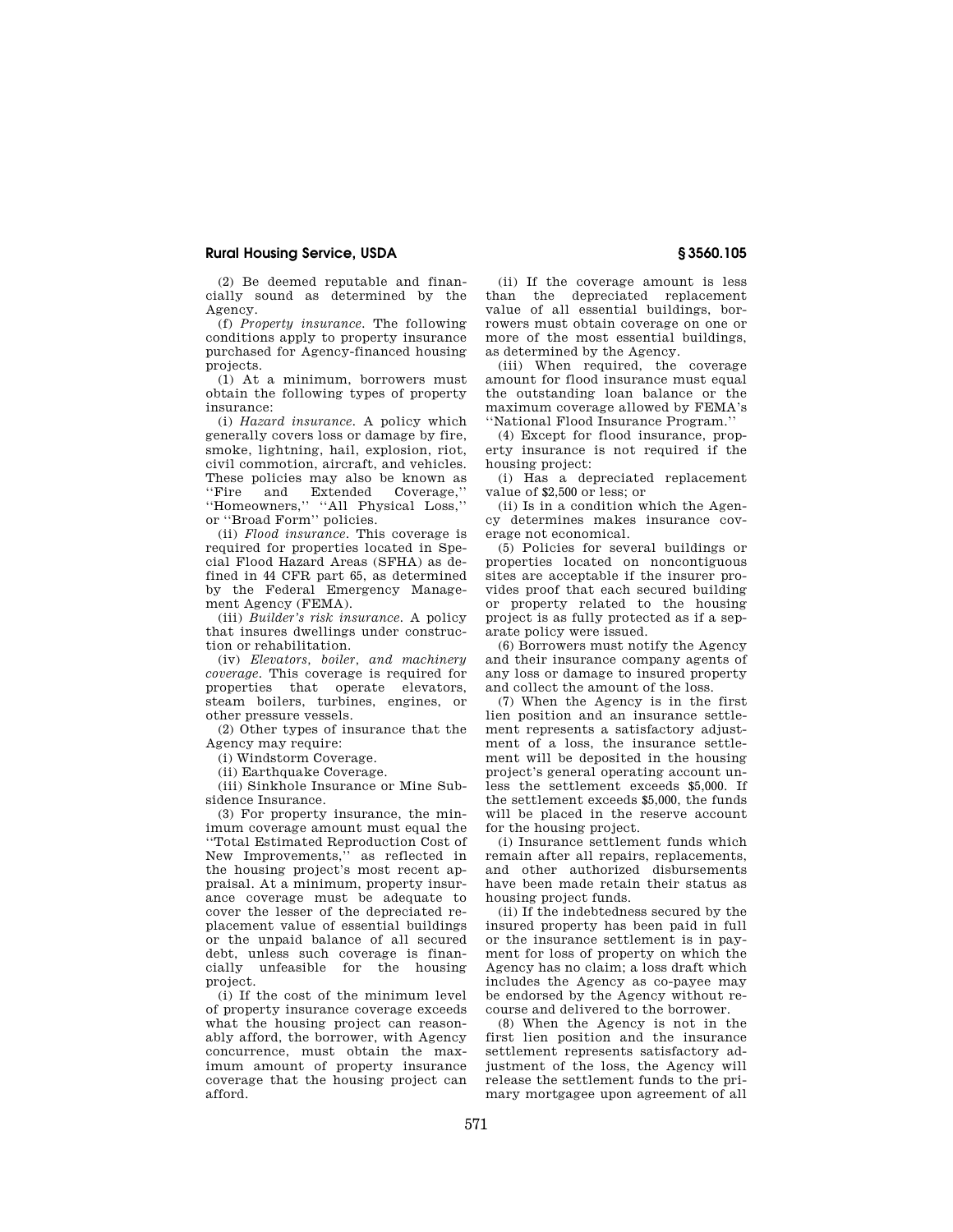## **Rural Housing Service, USDA § 3560.105**

(2) Be deemed reputable and financially sound as determined by the Agency.

(f) *Property insurance.* The following conditions apply to property insurance purchased for Agency-financed housing projects.

(1) At a minimum, borrowers must obtain the following types of property insurance:

(i) *Hazard insurance.* A policy which generally covers loss or damage by fire, smoke, lightning, hail, explosion, riot, civil commotion, aircraft, and vehicles. These policies may also be known as<br>"Fire and Extended Coverage." and Extended Coverage, ''Homeowners,'' ''All Physical Loss,'' or ''Broad Form'' policies.

(ii) *Flood insurance.* This coverage is required for properties located in Special Flood Hazard Areas (SFHA) as defined in 44 CFR part 65, as determined by the Federal Emergency Management Agency (FEMA).

(iii) *Builder's risk insurance.* A policy that insures dwellings under construction or rehabilitation.

(iv) *Elevators, boiler, and machinery coverage.* This coverage is required for properties that operate elevators, steam boilers, turbines, engines, or other pressure vessels.

(2) Other types of insurance that the Agency may require:

(i) Windstorm Coverage.

(ii) Earthquake Coverage.

(iii) Sinkhole Insurance or Mine Subsidence Insurance.

(3) For property insurance, the minimum coverage amount must equal the ''Total Estimated Reproduction Cost of New Improvements,'' as reflected in the housing project's most recent appraisal. At a minimum, property insurance coverage must be adequate to cover the lesser of the depreciated replacement value of essential buildings or the unpaid balance of all secured debt, unless such coverage is financially unfeasible for the housing project.

(i) If the cost of the minimum level of property insurance coverage exceeds what the housing project can reasonably afford, the borrower, with Agency concurrence, must obtain the maximum amount of property insurance coverage that the housing project can afford.

(ii) If the coverage amount is less than the depreciated replacement value of all essential buildings, borrowers must obtain coverage on one or more of the most essential buildings, as determined by the Agency.

(iii) When required, the coverage amount for flood insurance must equal the outstanding loan balance or the maximum coverage allowed by FEMA's ''National Flood Insurance Program.''

(4) Except for flood insurance, property insurance is not required if the housing project:

(i) Has a depreciated replacement value of \$2,500 or less; or

(ii) Is in a condition which the Agency determines makes insurance coverage not economical.

(5) Policies for several buildings or properties located on noncontiguous sites are acceptable if the insurer provides proof that each secured building or property related to the housing project is as fully protected as if a separate policy were issued.

(6) Borrowers must notify the Agency and their insurance company agents of any loss or damage to insured property and collect the amount of the loss.

(7) When the Agency is in the first lien position and an insurance settlement represents a satisfactory adjustment of a loss, the insurance settlement will be deposited in the housing project's general operating account unless the settlement exceeds \$5,000. If the settlement exceeds \$5,000, the funds will be placed in the reserve account for the housing project.

(i) Insurance settlement funds which remain after all repairs, replacements, and other authorized disbursements have been made retain their status as housing project funds.

(ii) If the indebtedness secured by the insured property has been paid in full or the insurance settlement is in payment for loss of property on which the Agency has no claim; a loss draft which includes the Agency as co-payee may be endorsed by the Agency without recourse and delivered to the borrower.

(8) When the Agency is not in the first lien position and the insurance settlement represents satisfactory adjustment of the loss, the Agency will release the settlement funds to the primary mortgagee upon agreement of all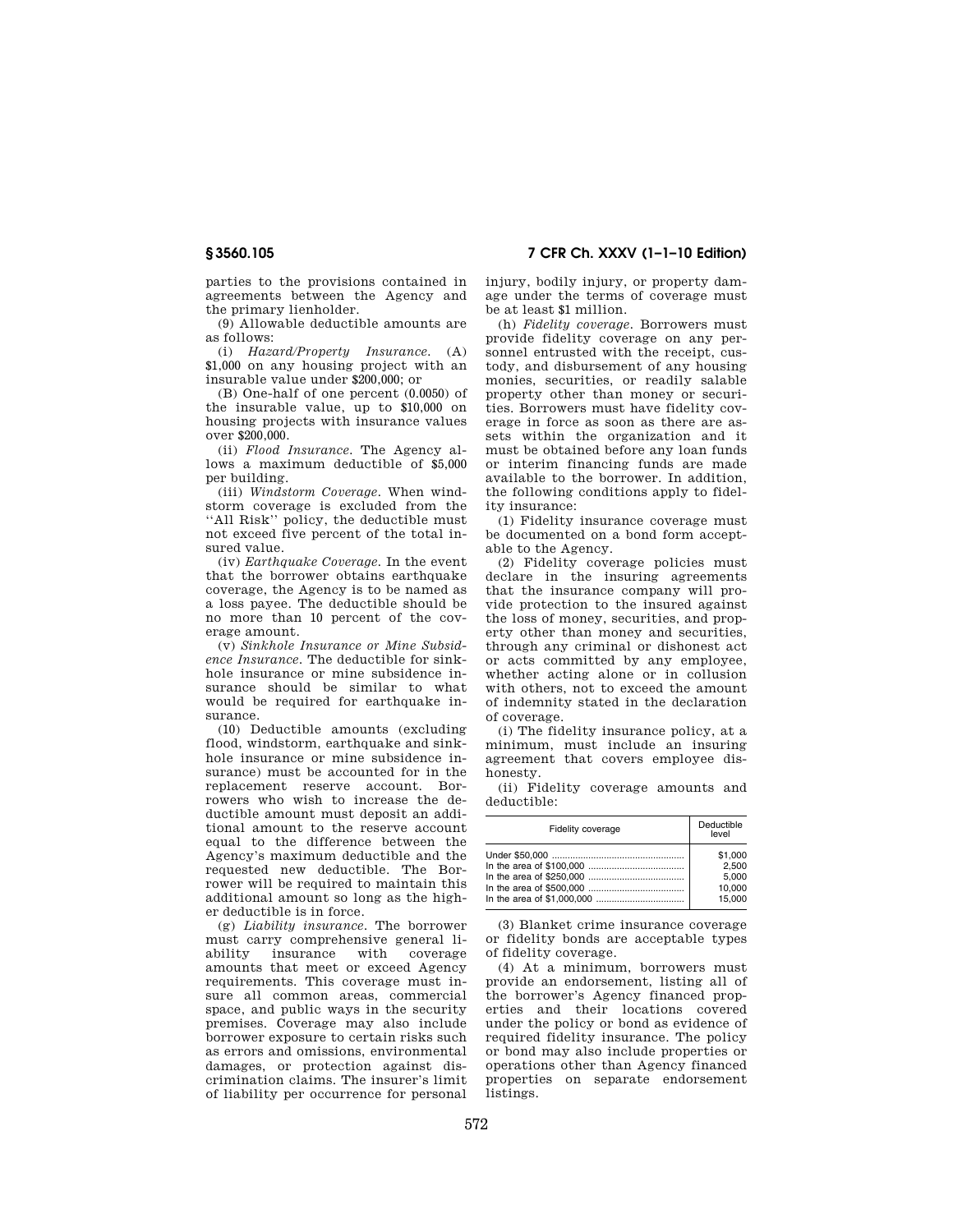parties to the provisions contained in agreements between the Agency and the primary lienholder.

(9) Allowable deductible amounts are as follows:

(i) *Hazard/Property Insurance.* (A) \$1,000 on any housing project with an insurable value under \$200,000; or

(B) One-half of one percent (0.0050) of the insurable value, up to \$10,000 on housing projects with insurance values over \$200,000.

(ii) *Flood Insurance.* The Agency allows a maximum deductible of \$5,000 per building.

(iii) *Windstorm Coverage.* When windstorm coverage is excluded from the ''All Risk'' policy, the deductible must not exceed five percent of the total insured value.

(iv) *Earthquake Coverage.* In the event that the borrower obtains earthquake coverage, the Agency is to be named as a loss payee. The deductible should be no more than 10 percent of the coverage amount.

(v) *Sinkhole Insurance or Mine Subsidence Insurance.* The deductible for sinkhole insurance or mine subsidence insurance should be similar to what would be required for earthquake insurance.

(10) Deductible amounts (excluding flood, windstorm, earthquake and sinkhole insurance or mine subsidence insurance) must be accounted for in the replacement reserve account. Borrowers who wish to increase the deductible amount must deposit an additional amount to the reserve account equal to the difference between the Agency's maximum deductible and the requested new deductible. The Borrower will be required to maintain this additional amount so long as the higher deductible is in force.

(g) *Liability insurance.* The borrower must carry comprehensive general li-<br>ability insurance with coverage insurance amounts that meet or exceed Agency requirements. This coverage must insure all common areas, commercial space, and public ways in the security premises. Coverage may also include borrower exposure to certain risks such as errors and omissions, environmental damages, or protection against discrimination claims. The insurer's limit of liability per occurrence for personal

**§ 3560.105 7 CFR Ch. XXXV (1–1–10 Edition)** 

injury, bodily injury, or property damage under the terms of coverage must be at least \$1 million.

(h) *Fidelity coverage.* Borrowers must provide fidelity coverage on any personnel entrusted with the receipt, custody, and disbursement of any housing monies, securities, or readily salable property other than money or securities. Borrowers must have fidelity coverage in force as soon as there are assets within the organization and it must be obtained before any loan funds or interim financing funds are made available to the borrower. In addition, the following conditions apply to fidelity insurance:

(1) Fidelity insurance coverage must be documented on a bond form acceptable to the Agency.

(2) Fidelity coverage policies must declare in the insuring agreements that the insurance company will provide protection to the insured against the loss of money, securities, and property other than money and securities, through any criminal or dishonest act or acts committed by any employee, whether acting alone or in collusion with others, not to exceed the amount of indemnity stated in the declaration of coverage.

(i) The fidelity insurance policy, at a minimum, must include an insuring agreement that covers employee dishonesty.

(ii) Fidelity coverage amounts and deductible:

| Fidelity coverage | Deductible<br>level |
|-------------------|---------------------|
|                   | \$1,000             |
|                   | 2.500               |
|                   | 5.000               |
|                   | 10.000              |
|                   | 15.000              |

(3) Blanket crime insurance coverage or fidelity bonds are acceptable types of fidelity coverage.

(4) At a minimum, borrowers must provide an endorsement, listing all of the borrower's Agency financed properties and their locations covered under the policy or bond as evidence of required fidelity insurance. The policy or bond may also include properties or operations other than Agency financed properties on separate endorsement listings.